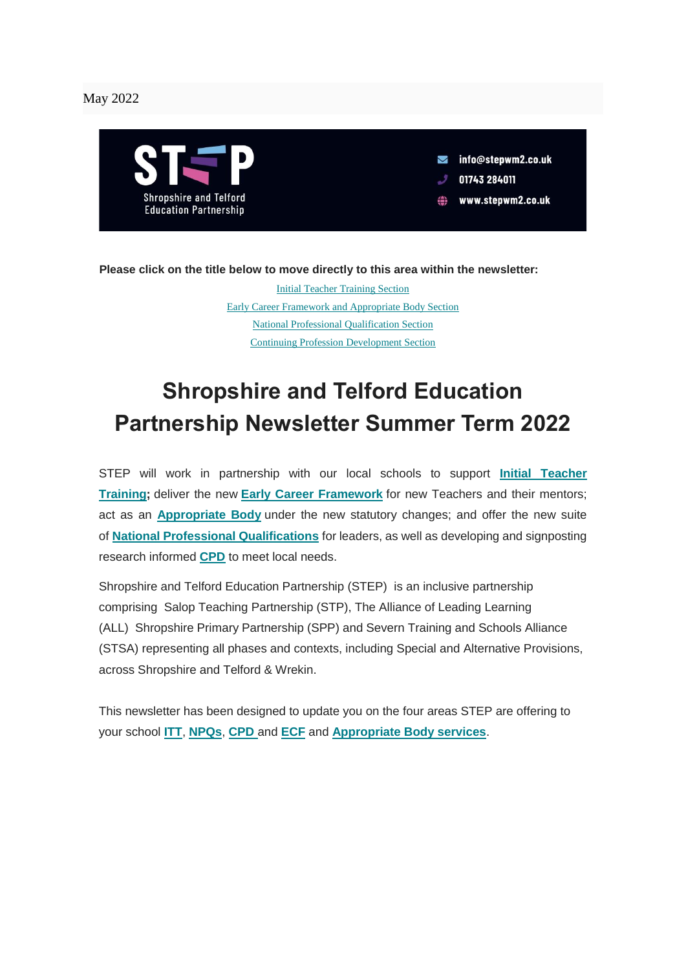#### May 2022



 $\blacksquare$  info@stepwm2.co.uk

- 01743 284011
- www.stepwm2.co.uk ⇔

**Please click on the title below to move directly to this area within the newsletter:**

[Initial Teacher Training Section](#page-4-0) [Early Career Framework and Appropriate Body Section](#page-2-0) [National Professional Qualification Section](#page-1-0) [Continuing Profession Development Section](#page-5-0)

## **Shropshire and Telford Education Partnership Newsletter Summer Term 2022**

STEP will work in partnership with our local schools to support **[Initial Teacher](https://www.stepwm2.co.uk/page/?title=ITT&pid=23)  [Training;](https://www.stepwm2.co.uk/page/?title=ITT&pid=23)** deliver the new **[Early Career Framework](https://www.stepwm2.co.uk/page/?title=ECF%2FAB&pid=21)** for new Teachers and their mentors; act as an **[Appropriate Body](https://www.stepwm2.co.uk/page/?title=ECF%2FAB&pid=21)** under the new statutory changes; and offer the new suite of **[National Professional Qualifications](https://www.stepwm2.co.uk/page/?title=NPQ&pid=22)** for leaders, as well as developing and signposting research informed **[CPD](https://www.stepwm2.co.uk/page/?title=CPD&pid=24)** to meet local needs.

Shropshire and Telford Education Partnership (STEP) is an inclusive partnership comprising Salop Teaching Partnership (STP), The Alliance of Leading Learning (ALL) Shropshire Primary Partnership (SPP) and Severn Training and Schools Alliance (STSA) representing all phases and contexts, including Special and Alternative Provisions, across Shropshire and Telford & Wrekin.

This newsletter has been designed to update you on the four areas STEP are offering to your school **[ITT](https://www.stepwm2.co.uk/page/?title=ITT&pid=23)**, **[NPQs](https://www.stepwm2.co.uk/page/?title=NPQ&pid=22)**, **[CPD](https://www.stepwm2.co.uk/page/?title=CPD&pid=24)** and **[ECF](https://www.stepwm2.co.uk/page/?title=ECF%2FAB&pid=21)** and **[Appropriate Body services](https://www.stepwm2.co.uk/page/?title=ECF%2FAB&pid=21)**.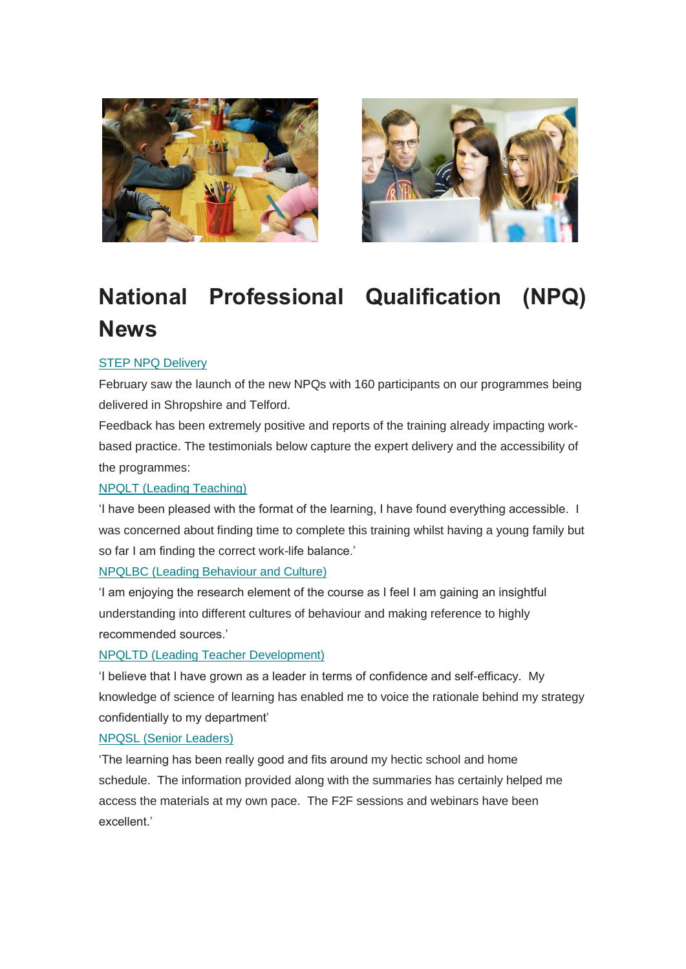



# <span id="page-1-0"></span>**National Professional Qualification (NPQ) News**

#### [STEP NPQ Delivery](https://www.stepwm2.co.uk/page/?title=NPQ&pid=22)

February saw the launch of the new NPQs with 160 participants on our programmes being delivered in Shropshire and Telford.

Feedback has been extremely positive and reports of the training already impacting workbased practice. The testimonials below capture the expert delivery and the accessibility of the programmes:

#### [NPQLT \(Leading Teaching\)](https://leadinglearning.co.uk/npqlt/)

'I have been pleased with the format of the learning, I have found everything accessible. I was concerned about finding time to complete this training whilst having a young family but so far I am finding the correct work-life balance.'

#### [NPQLBC \(Leading Behaviour and Culture\)](https://leadinglearning.co.uk/npqlbc/)

'I am enjoying the research element of the course as I feel I am gaining an insightful understanding into different cultures of behaviour and making reference to highly recommended sources.'

#### [NPQLTD \(Leading Teacher Development\)](https://leadinglearning.co.uk/npqltd/)

'I believe that I have grown as a leader in terms of confidence and self-efficacy. My knowledge of science of learning has enabled me to voice the rationale behind my strategy confidentially to my department'

#### [NPQSL \(Senior Leaders\)](https://leadinglearning.co.uk/npqsl/)

'The learning has been really good and fits around my hectic school and home schedule. The information provided along with the summaries has certainly helped me access the materials at my own pace. The F2F sessions and webinars have been excellent.'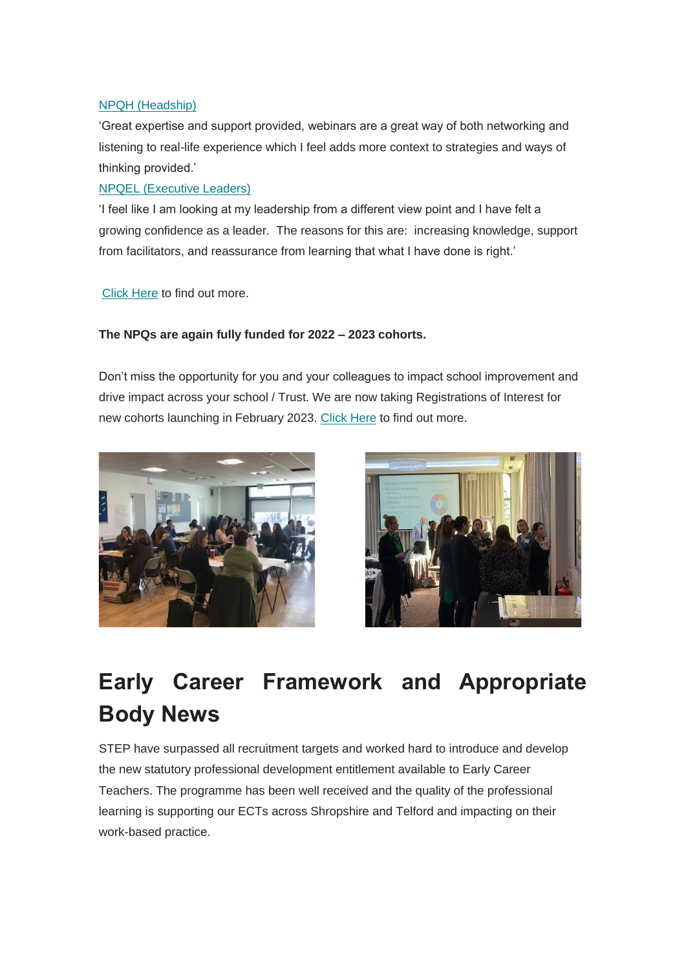#### [NPQH \(Headship\)](https://leadinglearning.co.uk/npqh/)

'Great expertise and support provided, webinars are a great way of both networking and listening to real-life experience which I feel adds more context to strategies and ways of thinking provided.'

#### [NPQEL \(Executive Leaders\)](https://leadinglearning.co.uk/npqel/)

'I feel like I am looking at my leadership from a different view point and I have felt a growing confidence as a leader. The reasons for this are: increasing knowledge, support from facilitators, and reassurance from learning that what I have done is right.'

[Click Here](https://leadinglearning.co.uk/new-npqs-from-sept-21/) to find out more.

#### **The NPQs are again fully funded for 2022 – 2023 cohorts.**

Don't miss the opportunity for you and your colleagues to impact school improvement and drive impact across your school / Trust. We are now taking Registrations of Interest for new cohorts launching in February 2023. [Click Here](https://leadinglearning.co.uk/new-npqs-from-sept-21/) to find out more.





## <span id="page-2-0"></span>**Early Career Framework and Appropriate Body News**

STEP have surpassed all recruitment targets and worked hard to introduce and develop the new statutory professional development entitlement available to Early Career Teachers. The programme has been well received and the quality of the professional learning is supporting our ECTs across Shropshire and Telford and impacting on their work-based practice.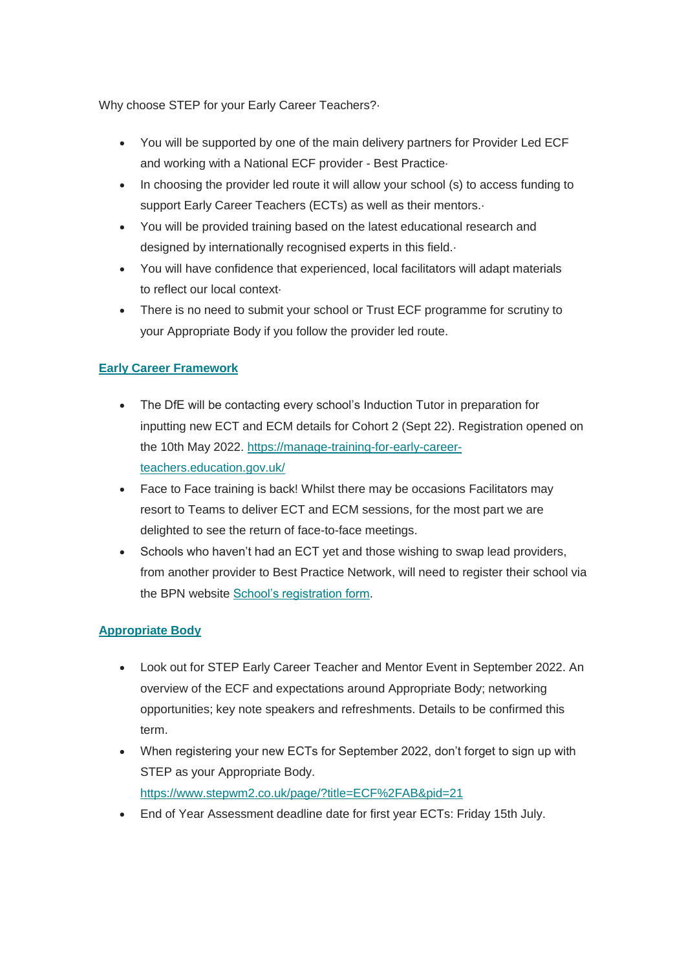Why choose STEP for your Early Career Teachers?·

- You will be supported by one of the main delivery partners for Provider Led ECF and working with a National ECF provider - Best Practice·
- In choosing the provider led route it will allow your school (s) to access funding to support Early Career Teachers (ECTs) as well as their mentors.·
- You will be provided training based on the latest educational research and designed by internationally recognised experts in this field.·
- You will have confidence that experienced, local facilitators will adapt materials to reflect our local context·
- There is no need to submit your school or Trust ECF programme for scrutiny to your Appropriate Body if you follow the provider led route.

#### **[Early Career Framework](https://www.stepwm2.co.uk/page/?title=ECF%2FAB&pid=21)**

- The DfE will be contacting every school's Induction Tutor in preparation for inputting new ECT and ECM details for Cohort 2 (Sept 22). Registration opened on the 10th May 2022. [https://manage-training-for-early-career](https://manage-training-for-early-career-teachers.education.gov.uk/)[teachers.education.gov.uk/](https://manage-training-for-early-career-teachers.education.gov.uk/)
- Face to Face training is back! Whilst there may be occasions Facilitators may resort to Teams to deliver ECT and ECM sessions, for the most part we are delighted to see the return of face-to-face meetings.
- Schools who haven't had an ECT yet and those wishing to swap lead providers, from another provider to Best Practice Network, will need to register their school via the BPN website [School's registration form.](https://ccms.bpnsystems.net/ecf_application/)

#### **[Appropriate Body](https://www.stepwm2.co.uk/page/?title=ECF%2FAB&pid=21)**

- Look out for STEP Early Career Teacher and Mentor Event in September 2022. An overview of the ECF and expectations around Appropriate Body; networking opportunities; key note speakers and refreshments. Details to be confirmed this term.
- When registering your new ECTs for September 2022, don't forget to sign up with STEP as your Appropriate Body. <https://www.stepwm2.co.uk/page/?title=ECF%2FAB&pid=21>
- End of Year Assessment deadline date for first year ECTs: Friday 15th July.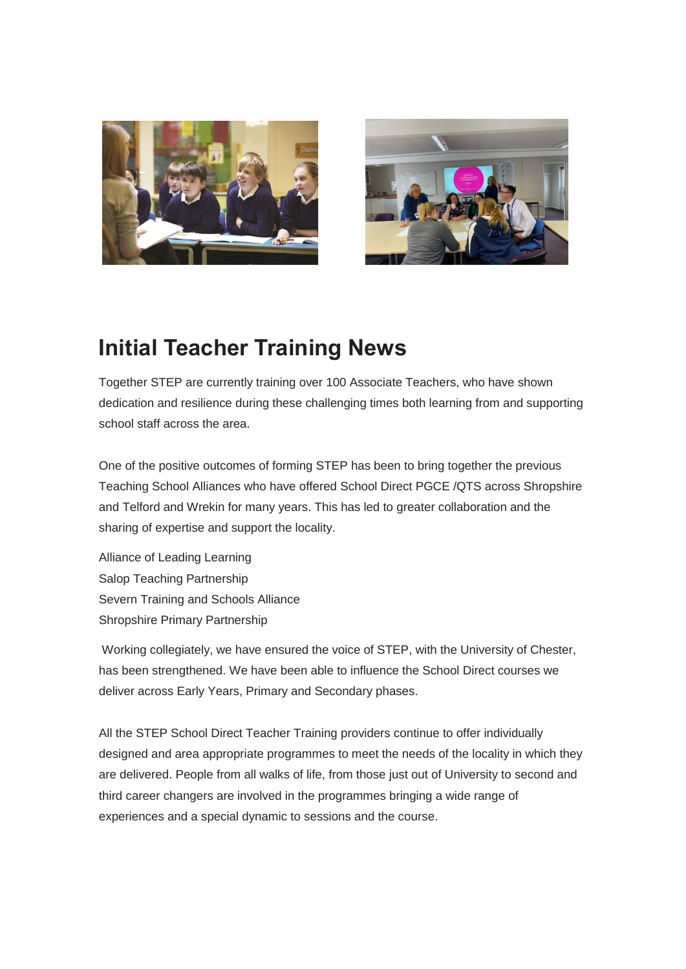



### <span id="page-4-0"></span>**Initial Teacher Training News**

Together STEP are currently training over 100 Associate Teachers, who have shown dedication and resilience during these challenging times both learning from and supporting school staff across the area.

One of the positive outcomes of forming STEP has been to bring together the previous Teaching School Alliances who have offered School Direct PGCE /QTS across Shropshire and Telford and Wrekin for many years. This has led to greater collaboration and the sharing of expertise and support the locality.

Alliance of Leading Learning Salop Teaching Partnership Severn Training and Schools Alliance Shropshire Primary Partnership

Working collegiately, we have ensured the voice of STEP, with the University of Chester, has been strengthened. We have been able to influence the School Direct courses we deliver across Early Years, Primary and Secondary phases.

All the STEP School Direct Teacher Training providers continue to offer individually designed and area appropriate programmes to meet the needs of the locality in which they are delivered. People from all walks of life, from those just out of University to second and third career changers are involved in the programmes bringing a wide range of experiences and a special dynamic to sessions and the course.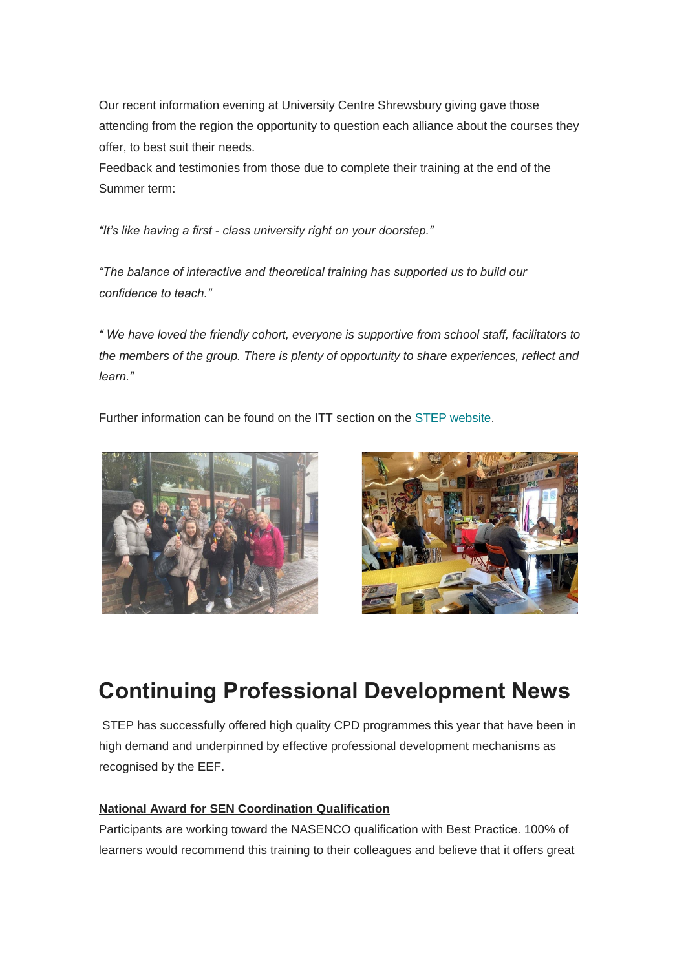Our recent information evening at University Centre Shrewsbury giving gave those attending from the region the opportunity to question each alliance about the courses they offer, to best suit their needs.

Feedback and testimonies from those due to complete their training at the end of the Summer term:

*"It's like having a first - class university right on your doorstep."*

*"The balance of interactive and theoretical training has supported us to build our confidence to teach."*

*" We have loved the friendly cohort, everyone is supportive from school staff, facilitators to the members of the group. There is plenty of opportunity to share experiences, reflect and learn."*

Further information can be found on the ITT section on the [STEP website.](https://www.stepwm2.co.uk/page/?title=ITT&pid=23)





### <span id="page-5-0"></span>**Continuing Professional Development News**

STEP has successfully offered high quality CPD programmes this year that have been in high demand and underpinned by effective professional development mechanisms as recognised by the EEF.

#### **National Award for SEN Coordination Qualification**

Participants are working toward the NASENCO qualification with Best Practice. 100% of learners would recommend this training to their colleagues and believe that it offers great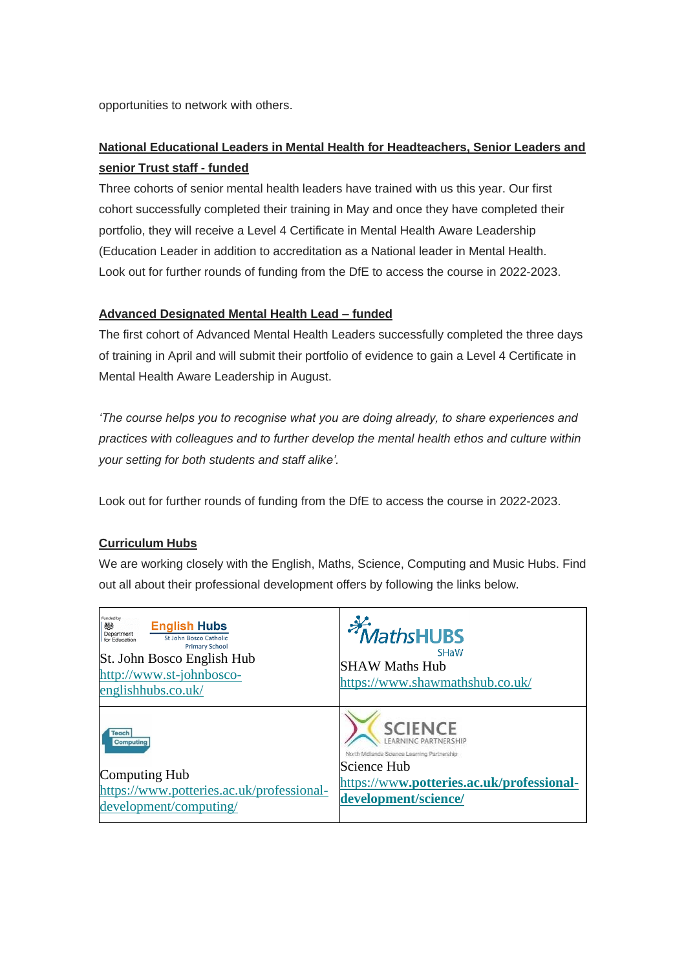opportunities to network with others.

#### **National Educational Leaders in Mental Health for Headteachers, Senior Leaders and senior Trust staff - funded**

Three cohorts of senior mental health leaders have trained with us this year. Our first cohort successfully completed their training in May and once they have completed their portfolio, they will receive a Level 4 Certificate in Mental Health Aware Leadership (Education Leader in addition to accreditation as a National leader in Mental Health. Look out for further rounds of funding from the DfE to access the course in 2022-2023.

#### **Advanced Designated Mental Health Lead – funded**

The first cohort of Advanced Mental Health Leaders successfully completed the three days of training in April and will submit their portfolio of evidence to gain a Level 4 Certificate in Mental Health Aware Leadership in August.

*'The course helps you to recognise what you are doing already, to share experiences and practices with colleagues and to further develop the mental health ethos and culture within your setting for both students and staff alike'.*

Look out for further rounds of funding from the DfE to access the course in 2022-2023.

#### **Curriculum Hubs**

We are working closely with the English, Maths, Science, Computing and Music Hubs. Find out all about their professional development offers by following the links below.

| Funded by<br><b>English Hubs</b><br>燃<br>Department<br>St John Bosco Catholic<br>for Education<br><b>Primary School</b><br>St. John Bosco English Hub<br>http://www.st-johnbosco-<br>englishhubs.co.uk/ | <i><b>MathsHUBS</b></i><br><b>SHaW</b><br><b>SHAW Maths Hub</b><br>https://www.shawmathshub.co.uk/                                                                    |
|---------------------------------------------------------------------------------------------------------------------------------------------------------------------------------------------------------|-----------------------------------------------------------------------------------------------------------------------------------------------------------------------|
| <b>Teach</b><br><b>Computing</b><br>Computing Hub<br>https://www.potteries.ac.uk/professional-<br>development/computing/                                                                                | <b>SCIENCE</b><br>NING PARTNERSHIP<br>North Midlands Science Learning Partnership<br>Science Hub<br>https://www.potteries.ac.uk/professional-<br>development/science/ |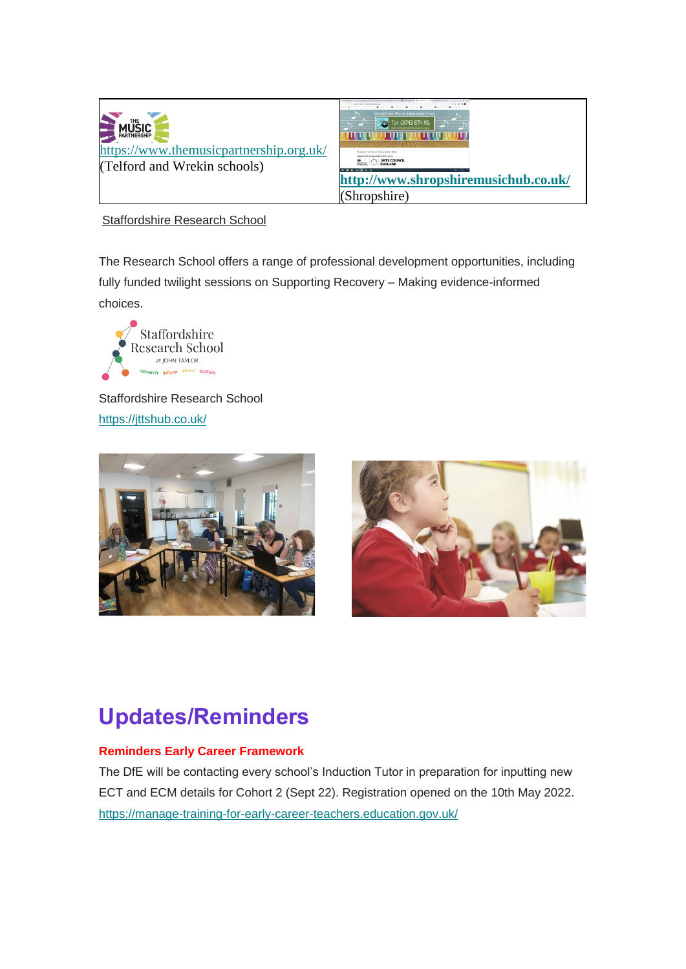



Staffordshire Research School

The Research School offers a range of professional development opportunities, including fully funded twilight sessions on Supporting Recovery – Making evidence-informed choices.



Staffordshire Research School <https://jttshub.co.uk/>





## **Updates/Reminders**

#### **Reminders Early Career Framework**

The DfE will be contacting every school's Induction Tutor in preparation for inputting new ECT and ECM details for Cohort 2 (Sept 22). Registration opened on the 10th May 2022. <https://manage-training-for-early-career-teachers.education.gov.uk/>